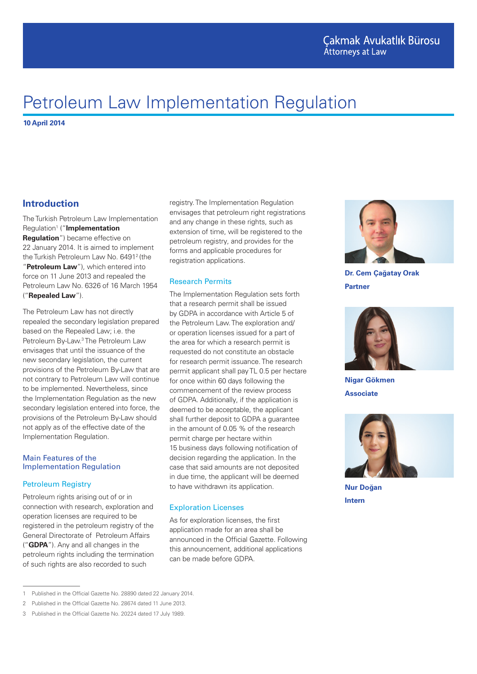# Petroleum Law Implementation Regulation

**10 April 2014**

# **Introduction**

The Turkish Petroleum Law Implementation Regulation1 ("**Implementation Regulation**") became effective on 22 January 2014. It is aimed to implement the Turkish Petroleum Law No. 6491<sup>2</sup> (the "**Petroleum Law**"), which entered into force on 11 June 2013 and repealed the Petroleum Law No. 6326 of 16 March 1954 ("**Repealed Law**").

The Petroleum Law has not directly repealed the secondary legislation prepared based on the Repealed Law; i.e. the Petroleum By-Law.<sup>3</sup> The Petroleum Law envisages that until the issuance of the new secondary legislation, the current provisions of the Petroleum By-Law that are not contrary to Petroleum Law will continue to be implemented. Nevertheless, since the Implementation Regulation as the new secondary legislation entered into force, the provisions of the Petroleum By-Law should not apply as of the effective date of the Implementation Regulation.

#### Main Features of the Implementation Regulation

#### Petroleum Registry

Petroleum rights arising out of or in connection with research, exploration and operation licenses are required to be registered in the petroleum registry of the General Directorate of Petroleum Affairs ("**GDPA**"). Any and all changes in the petroleum rights including the termination of such rights are also recorded to such

registry. The Implementation Regulation envisages that petroleum right registrations and any change in these rights, such as extension of time, will be registered to the petroleum registry, and provides for the forms and applicable procedures for registration applications.

#### Research Permits

The Implementation Regulation sets forth that a research permit shall be issued by GDPA in accordance with Article 5 of the Petroleum Law. The exploration and/ or operation licenses issued for a part of the area for which a research permit is requested do not constitute an obstacle for research permit issuance. The research permit applicant shall pay TL 0.5 per hectare for once within 60 days following the commencement of the review process of GDPA. Additionally, if the application is deemed to be acceptable, the applicant shall further deposit to GDPA a guarantee in the amount of 0.05 % of the research permit charge per hectare within 15 business days following notification of decision regarding the application. In the case that said amounts are not deposited in due time, the applicant will be deemed to have withdrawn its application.

#### Exploration Licenses

As for exploration licenses, the first application made for an area shall be announced in the Official Gazette. Following this announcement, additional applications can be made before GDPA.



**Dr. Cem Çağatay Orak Partner**



**Nigar Gökmen Associate**



**Nur Doğan Intern**

<sup>1</sup> Published in the Official Gazette No. 28890 dated 22 January 2014.

<sup>2</sup> Published in the Official Gazette No. 28674 dated 11 June 2013.

<sup>3</sup> Published in the Official Gazette No. 20224 dated 17 July 1989.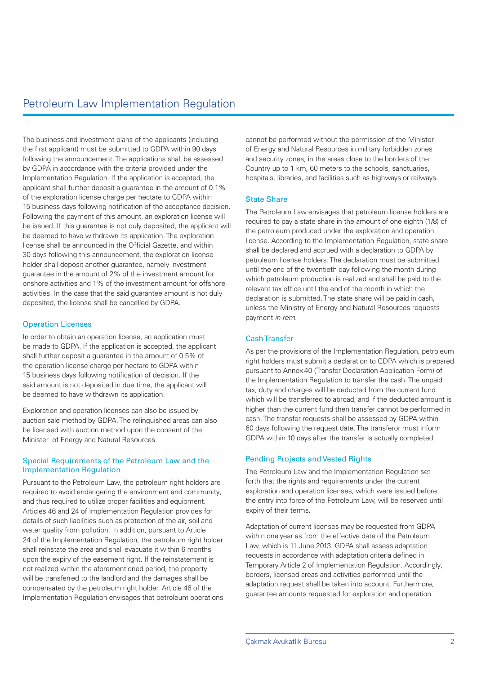The business and investment plans of the applicants (including the first applicant) must be submitted to GDPA within 90 days following the announcement. The applications shall be assessed by GDPA in accordance with the criteria provided under the Implementation Regulation. If the application is accepted, the applicant shall further deposit a guarantee in the amount of 0.1% of the exploration license charge per hectare to GDPA within 15 business days following notification of the acceptance decision. Following the payment of this amount, an exploration license will be issued. If this guarantee is not duly deposited, the applicant will be deemed to have withdrawn its application. The exploration license shall be announced in the Official Gazette, and within 30 days following this announcement, the exploration license holder shall deposit another guarantee, namely investment guarantee in the amount of 2% of the investment amount for onshore activities and 1% of the investment amount for offshore activities. In the case that the said guarantee amount is not duly deposited, the license shall be cancelled by GDPA.

## Operation Licenses

In order to obtain an operation license, an application must be made to GDPA. If the application is accepted, the applicant shall further deposit a guarantee in the amount of 0.5% of the operation license charge per hectare to GDPA within 15 business days following notification of decision. If the said amount is not deposited in due time, the applicant will be deemed to have withdrawn its application.

Exploration and operation licenses can also be issued by auction sale method by GDPA. The relinquished areas can also be licensed with auction method upon the consent of the Minister of Energy and Natural Resources.

#### Special Requirements of the Petroleum Law and the Implementation Regulation

Pursuant to the Petroleum Law, the petroleum right holders are required to avoid endangering the environment and community, and thus required to utilize proper facilities and equipment. Articles 46 and 24 of Implementation Regulation provides for details of such liabilities such as protection of the air, soil and water quality from pollution. In addition, pursuant to Article 24 of the Implementation Regulation, the petroleum right holder shall reinstate the area and shall evacuate it within 6 months upon the expiry of the easement right. If the reinstatement is not realized within the aforementioned period, the property will be transferred to the landlord and the damages shall be compensated by the petroleum right holder. Article 46 of the Implementation Regulation envisages that petroleum operations cannot be performed without the permission of the Minister of Energy and Natural Resources in military forbidden zones and security zones, in the areas close to the borders of the Country up to 1 km, 60 meters to the schools, sanctuaries, hospitals, libraries, and facilities such as highways or railways.

## State Share

The Petroleum Law envisages that petroleum license holders are required to pay a state share in the amount of one eighth (1/8) of the petroleum produced under the exploration and operation license. According to the Implementation Regulation, state share shall be declared and accrued with a declaration to GDPA by petroleum license holders. The declaration must be submitted until the end of the twentieth day following the month during which petroleum production is realized and shall be paid to the relevant tax office until the end of the month in which the declaration is submitted. The state share will be paid in cash, unless the Ministry of Energy and Natural Resources requests payment *in rem*.

## Cash Transfer

As per the provisions of the Implementation Regulation, petroleum right holders must submit a declaration to GDPA which is prepared pursuant to Annex-40 (Transfer Declaration Application Form) of the Implementation Regulation to transfer the cash. The unpaid tax, duty and charges will be deducted from the current fund which will be transferred to abroad, and if the deducted amount is higher than the current fund then transfer cannot be performed in cash. The transfer requests shall be assessed by GDPA within 60 days following the request date. The transferor must inform GDPA within 10 days after the transfer is actually completed.

## Pending Projects and Vested Rights

The Petroleum Law and the Implementation Regulation set forth that the rights and requirements under the current exploration and operation licenses, which were issued before the entry into force of the Petroleum Law, will be reserved until expiry of their terms.

Adaptation of current licenses may be requested from GDPA within one year as from the effective date of the Petroleum Law, which is 11 June 2013. GDPA shall assess adaptation requests in accordance with adaptation criteria defined in Temporary Article 2 of Implementation Regulation. Accordingly, borders, licensed areas and activities performed until the adaptation request shall be taken into account. Furthermore, guarantee amounts requested for exploration and operation